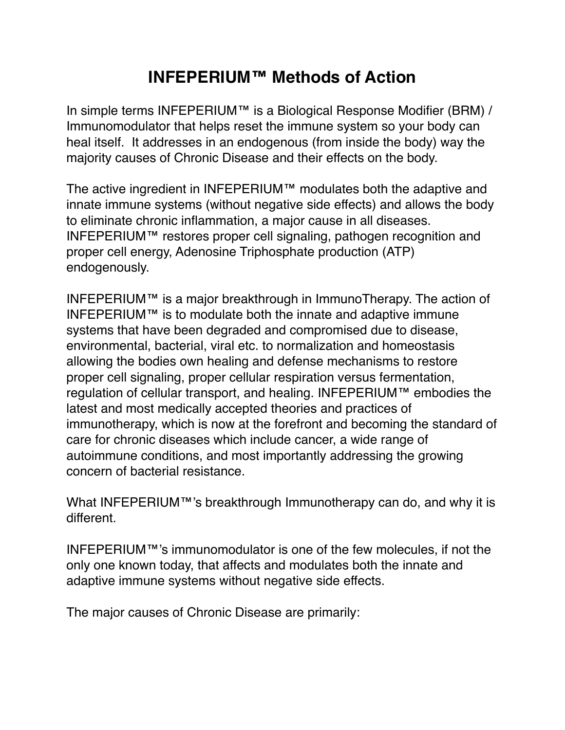## **INFEPERIUM™ Methods of Action**

In simple terms INFEPERIUM™ is a Biological Response Modifier (BRM) / Immunomodulator that helps reset the immune system so your body can heal itself. It addresses in an endogenous (from inside the body) way the majority causes of Chronic Disease and their effects on the body.

The active ingredient in INFEPERIUM™ modulates both the adaptive and innate immune systems (without negative side effects) and allows the body to eliminate chronic inflammation, a major cause in all diseases. INFEPERIUM™ restores proper cell signaling, pathogen recognition and proper cell energy, Adenosine Triphosphate production (ATP) endogenously.

INFEPERIUM™ is a major breakthrough in ImmunoTherapy. The action of INFEPERIUM™ is to modulate both the innate and adaptive immune systems that have been degraded and compromised due to disease, environmental, bacterial, viral etc. to normalization and homeostasis allowing the bodies own healing and defense mechanisms to restore proper cell signaling, proper cellular respiration versus fermentation, regulation of cellular transport, and healing. INFEPERIUM™ embodies the latest and most medically accepted theories and practices of immunotherapy, which is now at the forefront and becoming the standard of care for chronic diseases which include cancer, a wide range of autoimmune conditions, and most importantly addressing the growing concern of bacterial resistance.

What INFEPERIUM™'s breakthrough Immunotherapy can do, and why it is different.

INFEPERIUM™'s immunomodulator is one of the few molecules, if not the only one known today, that affects and modulates both the innate and adaptive immune systems without negative side effects.

The major causes of Chronic Disease are primarily: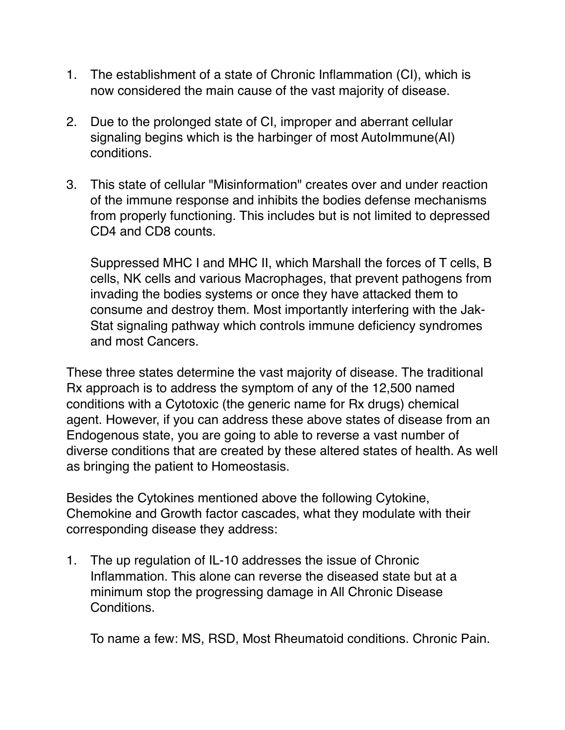- 1. The establishment of a state of Chronic Inflammation (CI), which is now considered the main cause of the vast majority of disease.
- 2. Due to the prolonged state of CI, improper and aberrant cellular signaling begins which is the harbinger of most AutoImmune(AI) conditions.
- 3. This state of cellular "Misinformation" creates over and under reaction of the immune response and inhibits the bodies defense mechanisms from properly functioning. This includes but is not limited to depressed CD4 and CD8 counts.

Suppressed MHC I and MHC II, which Marshall the forces of T cells, B cells, NK cells and various Macrophages, that prevent pathogens from invading the bodies systems or once they have attacked them to consume and destroy them. Most importantly interfering with the Jak-Stat signaling pathway which controls immune deficiency syndromes and most Cancers.

These three states determine the vast majority of disease. The traditional Rx approach is to address the symptom of any of the 12,500 named conditions with a Cytotoxic (the generic name for Rx drugs) chemical agent. However, if you can address these above states of disease from an Endogenous state, you are going to able to reverse a vast number of diverse conditions that are created by these altered states of health. As well as bringing the patient to Homeostasis.

Besides the Cytokines mentioned above the following Cytokine, Chemokine and Growth factor cascades, what they modulate with their corresponding disease they address:

1. The up regulation of IL-10 addresses the issue of Chronic Inflammation. This alone can reverse the diseased state but at a minimum stop the progressing damage in All Chronic Disease Conditions.

To name a few: MS, RSD, Most Rheumatoid conditions. Chronic Pain.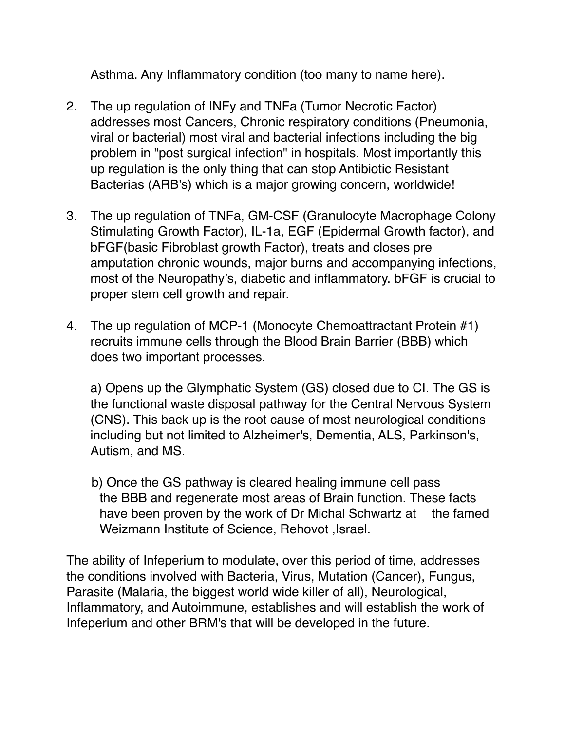Asthma. Any Inflammatory condition (too many to name here).

- 2. The up regulation of INFy and TNFa (Tumor Necrotic Factor) addresses most Cancers, Chronic respiratory conditions (Pneumonia, viral or bacterial) most viral and bacterial infections including the big problem in "post surgical infection" in hospitals. Most importantly this up regulation is the only thing that can stop Antibiotic Resistant Bacterias (ARB's) which is a major growing concern, worldwide!
- 3. The up regulation of TNFa, GM-CSF (Granulocyte Macrophage Colony Stimulating Growth Factor), IL-1a, EGF (Epidermal Growth factor), and bFGF(basic Fibroblast growth Factor), treats and closes pre amputation chronic wounds, major burns and accompanying infections, most of the Neuropathy's, diabetic and inflammatory. bFGF is crucial to proper stem cell growth and repair.
- 4. The up regulation of MCP-1 (Monocyte Chemoattractant Protein #1) recruits immune cells through the Blood Brain Barrier (BBB) which does two important processes.

a) Opens up the Glymphatic System (GS) closed due to CI. The GS is the functional waste disposal pathway for the Central Nervous System (CNS). This back up is the root cause of most neurological conditions including but not limited to Alzheimer's, Dementia, ALS, Parkinson's, Autism, and MS.

b) Once the GS pathway is cleared healing immune cell pass the BBB and regenerate most areas of Brain function. These facts have been proven by the work of Dr Michal Schwartz at the famed Weizmann Institute of Science, Rehovot ,Israel.

The ability of Infeperium to modulate, over this period of time, addresses the conditions involved with Bacteria, Virus, Mutation (Cancer), Fungus, Parasite (Malaria, the biggest world wide killer of all), Neurological, Inflammatory, and Autoimmune, establishes and will establish the work of Infeperium and other BRM's that will be developed in the future.